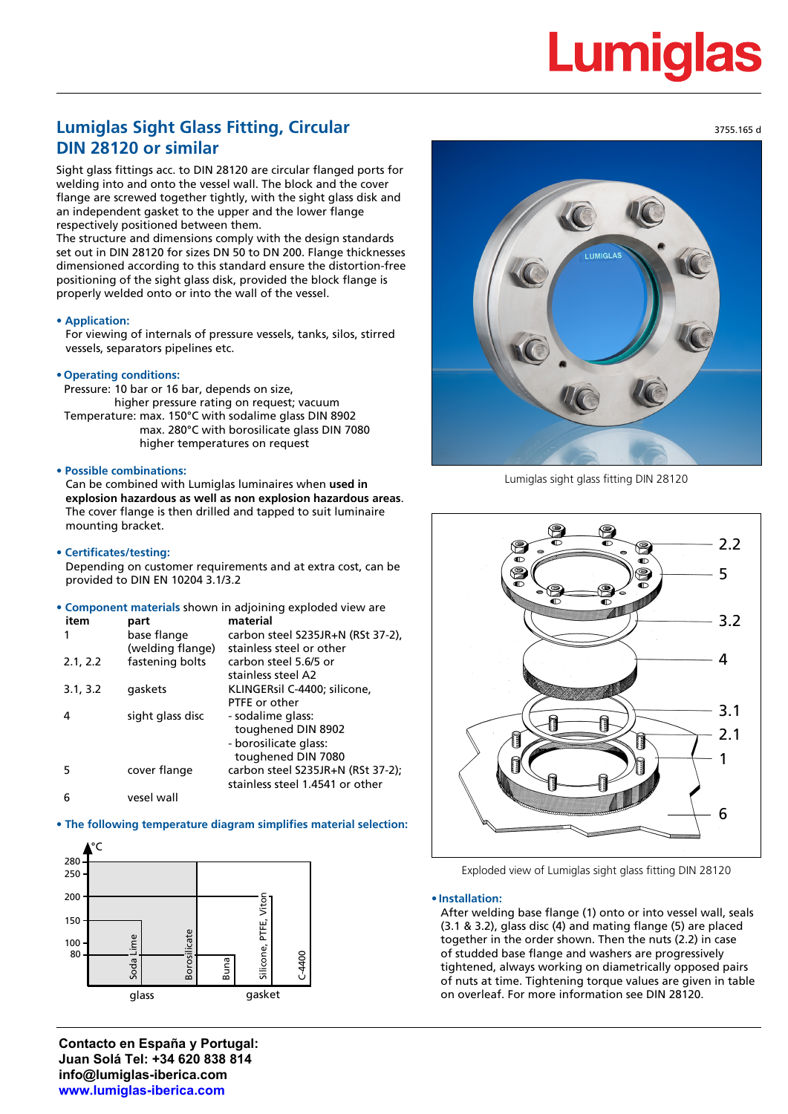# **Lumiglas**

# **Lumiglas Sight Glass Fitting, Circular DIN 28120 or similar**

Sight glass fittings acc. to DIN 28120 are circular flanged ports for welding into and onto the vessel wall. The block and the cover flange are screwed together tightly, with the sight glass disk and an independent gasket to the upper and the lower flange respectively positioned between them.

The structure and dimensions comply with the design standards set out in DIN 28120 for sizes DN 50 to DN 200. Flange thicknesses dimensioned according to this standard ensure the distortion-free positioning of the sight glass disk, provided the block flange is properly welded onto or into the wall of the vessel.

### **• Application:**

For viewing of internals of pressure vessels, tanks, silos, stirred vessels, separators pipelines etc.

#### **• Operating conditions:**

Pressure: 10 bar or 16 bar, depends on size, higher pressure rating on request; vacuum Temperature: max. 150°C with sodalime glass DIN 8902 max. 280°C with borosilicate glass DIN 7080 higher temperatures on request

## **• Possible combinations:**

Can be combined with Lumiglas luminaires when **used in explosion hazardous as well as non explosion hazardous areas**. The cover flange is then drilled and tapped to suit luminaire mounting bracket.

#### **• Certificates/testing:**

Depending on customer requirements and at extra cost, can be provided to DIN EN 10204 3.1/3.2

**• Component materials** shown in adjoining exploded view are

| item     | part             | material                          |
|----------|------------------|-----------------------------------|
|          | base flange      | carbon steel S235JR+N (RSt 37-2), |
|          | (welding flange) | stainless steel or other          |
| 2.1, 2.2 | fastening bolts  | carbon steel 5.6/5 or             |
|          |                  | stainless steel A2                |
| 3.1, 3.2 | gaskets          | KLINGERsil C-4400; silicone,      |
|          |                  | PTFE or other                     |
|          | sight glass disc | - sodalime glass:                 |
|          |                  | toughened DIN 8902                |
|          |                  | - borosilicate glass:             |
|          |                  | toughened DIN 7080                |
| 5        | cover flange     | carbon steel S235JR+N (RSt 37-2); |
|          |                  | stainless steel 1.4541 or other   |
|          | المبيد لمعمبد    |                                   |

#### 6 vesel wall

# **• The following temperature diagram simplifies material selection:**



**Contacto en España y Portugal: Juan Solá Tel: +34 620 838 814 info@lumiglas-iberica.com www.lumiglas-iberica.com**



Lumiglas sight glass fitting DIN 28120



Exploded view of Lumiglas sight glass fitting DIN 28120

#### **• Installation:**

After welding base flange (1) onto or into vessel wall, seals (3.1 & 3.2), glass disc (4) and mating flange (5) are placed together in the order shown. Then the nuts (2.2) in case of studded base flange and washers are progressively tightened, always working on diametrically opposed pairs of nuts at time. Tightening torque values are given in table on overleaf. For more information see DIN 28120.

3755.165 d